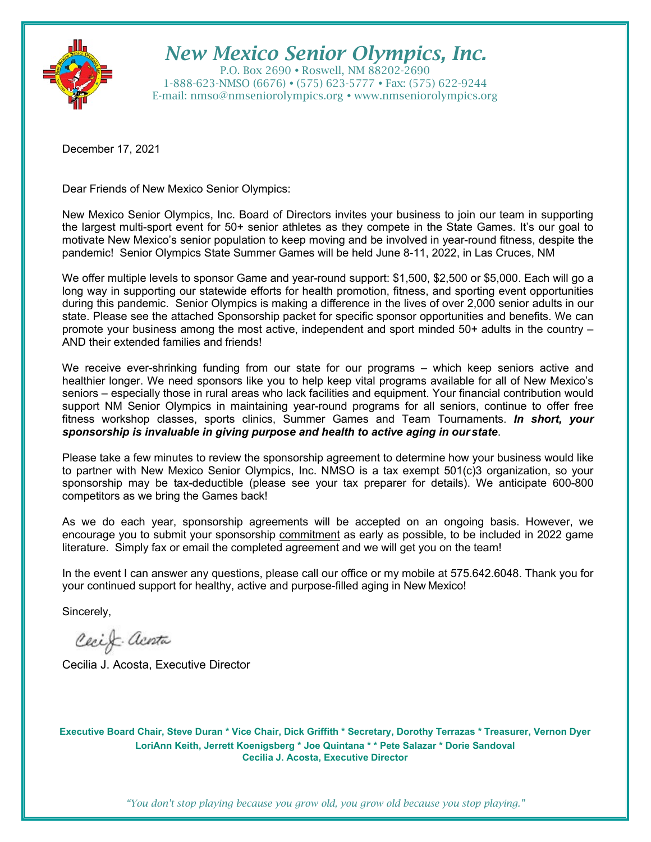

# *New Mexico Senior Olympics, Inc.*

P.O. Box 2690 Roswell, NM 88202-2690 1-888-623-NMSO (6676) (575) 623-5777 Fax: (575) 622-9244 E-mail: [nmso@nmseniorolympics.org](mailto:nmso@nmseniorolympics.org) • [www.nmseniorolympics.org](http://www.nmseniorolympics.org/)

December 17, 2021

Dear Friends of New Mexico Senior Olympics:

New Mexico Senior Olympics, Inc. Board of Directors invites your business to join our team in supporting the largest multi-sport event for 50+ senior athletes as they compete in the State Games. It's our goal to motivate New Mexico's senior population to keep moving and be involved in year-round fitness, despite the pandemic! Senior Olympics State Summer Games will be held June 8-11, 2022, in Las Cruces, NM

We offer multiple levels to sponsor Game and year-round support: \$1,500, \$2,500 or \$5,000. Each will go a long way in supporting our statewide efforts for health promotion, fitness, and sporting event opportunities during this pandemic. Senior Olympics is making a difference in the lives of over 2,000 senior adults in our state. Please see the attached Sponsorship packet for specific sponsor opportunities and benefits. We can promote your business among the most active, independent and sport minded 50+ adults in the country – AND their extended families and friends!

We receive ever-shrinking funding from our state for our programs – which keep seniors active and healthier longer. We need sponsors like you to help keep vital programs available for all of New Mexico's seniors – especially those in rural areas who lack facilities and equipment. Your financial contribution would support NM Senior Olympics in maintaining year-round programs for all seniors, continue to offer free fitness workshop classes, sports clinics, Summer Games and Team Tournaments. *In short, your sponsorship is invaluable in giving purpose and health to active aging in our state*.

Please take a few minutes to review the sponsorship agreement to determine how your business would like to partner with New Mexico Senior Olympics, Inc. NMSO is a tax exempt 501(c)3 organization, so your sponsorship may be tax-deductible (please see your tax preparer for details). We anticipate 600-800 competitors as we bring the Games back!

As we do each year, sponsorship agreements will be accepted on an ongoing basis. However, we encourage you to submit your sponsorship commitment as early as possible, to be included in 2022 game literature. Simply fax or email the completed agreement and we will get you on the team!

In the event I can answer any questions, please call our office or my mobile at 575.642.6048. Thank you for your continued support for healthy, active and purpose-filled aging in New Mexico!

Sincerely,

Cecif acenta

Cecilia J. Acosta, Executive Director

**Executive Board Chair, Steve Duran \* Vice Chair, Dick Griffith \* Secretary, Dorothy Terrazas \* Treasurer, Vernon Dyer LoriAnn Keith, Jerrett Koenigsberg \* Joe Quintana \* \* Pete Salazar \* Dorie Sandoval Cecilia J. Acosta, Executive Director**

*"You don't stop playing because you grow old, you grow old because you stop playing."*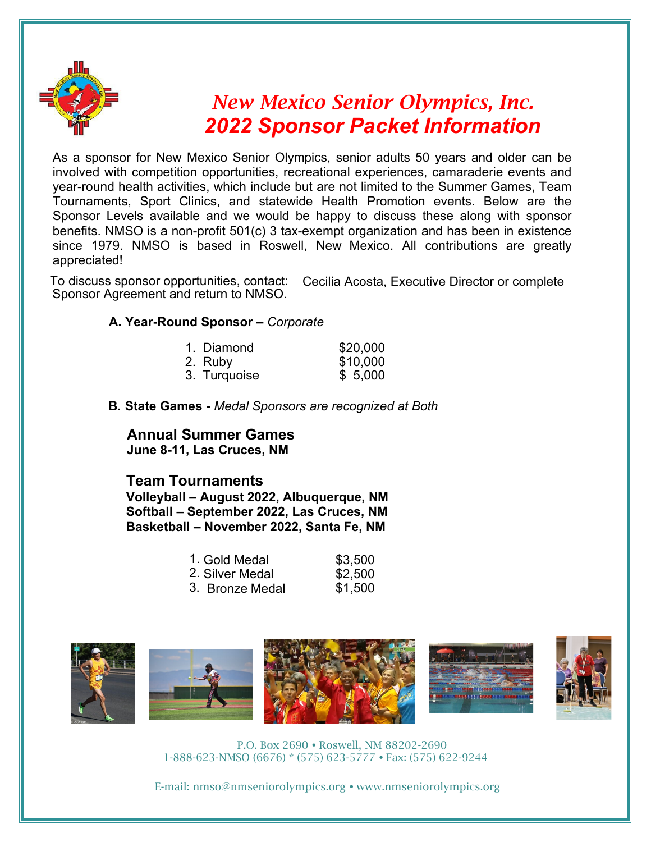

# *New Mexico Senior Olympics, Inc. 2022 Sponsor Packet Information*

As a sponsor for New Mexico Senior Olympics, senior adults 50 years and older can be involved with competition opportunities, recreational experiences, camaraderie events and year-round health activities, which include but are not limited to the Summer Games, Team Tournaments, Sport Clinics, and statewide Health Promotion events. Below are the Sponsor Levels available and we would be happy to discuss these along with sponsor benefits. NMSO is a non-profit 501(c) 3 tax-exempt organization and has been in existence since 1979. NMSO is based in Roswell, New Mexico. All contributions are greatly appreciated!

To discuss sponsor opportunities, contact: Cecilia Acosta, Executive Director or complete Sponsor Agreement and return to NMSO.

#### **A. Year-Round Sponsor –** *Corporate*

| 1. Diamond   | \$20,000 |
|--------------|----------|
| 2. Ruby      | \$10,000 |
| 3. Turquoise | \$5,000  |

**B. State Games -** *Medal Sponsors are recognized at Both* 

#### **Annual Summer Games June 8-11, Las Cruces, NM**

#### **Team Tournaments**

**Volleyball – August 2022, Albuquerque, NM Softball – September 2022, Las Cruces, NM Basketball – November 2022, Santa Fe, NM**

| 1. Gold Medal     | \$3,500 |
|-------------------|---------|
| 2. Silver Medal   | \$2,500 |
| 3.   Bronze Medal | \$1,500 |



P.O. Box 2690 Roswell, NM 88202-2690 1-888-623-NMSO (6676) \* (575) 623-5777 Fax: (575) 622-9244

E-mail: [nmso@nmseniorolympics.org](mailto:nmso@nmseniorolympics.org) • [www.nmseniorolympics.org](http://www.nmseniorolympics.org/)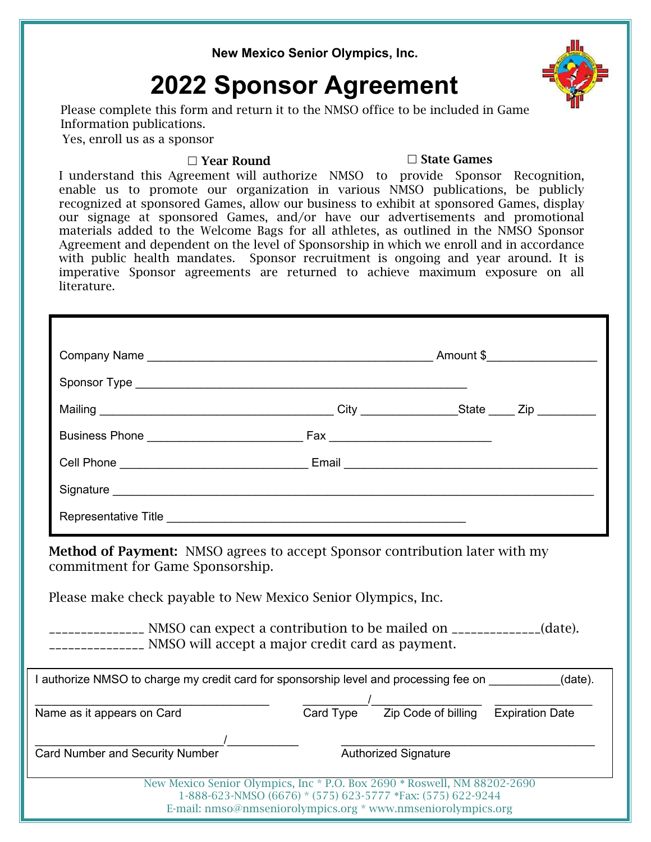**New Mexico Senior Olympics, Inc.**

# **2022 Sponsor Agreement**

Please complete this form and return it to the NMSO office to be included in Game Information publications.

Yes, enroll us as a sponsor

#### $\Box$  Year Round  $\Box$  State Games

I understand this Agreement will authorize NMSO to provide Sponsor Recognition, enable us to promote our organization in various NMSO publications, be publicly recognized at sponsored Games, allow our business to exhibit at sponsored Games, display our signage at sponsored Games, and/or have our advertisements and promotional materials added to the Welcome Bags for all athletes, as outlined in the NMSO Sponsor Agreement and dependent on the level of Sponsorship in which we enroll and in accordance with public health mandates. Sponsor recruitment is ongoing and year around. It is imperative Sponsor agreements are returned to achieve maximum exposure on all literature.

|                                                                | <b>Method of Payment:</b> NMSO agrees to accept Sponsor contribution later with my<br>Please make check payable to New Mexico Senior Olympics, Inc.       |  |
|----------------------------------------------------------------|-----------------------------------------------------------------------------------------------------------------------------------------------------------|--|
|                                                                | ________________ NMSO can expect a contribution to be mailed on _____________(date).<br>________________ NMSO will accept a major credit card as payment. |  |
|                                                                | I authorize NMSO to charge my credit card for sponsorship level and processing fee on __________(date).                                                   |  |
| commitment for Game Sponsorship.<br>Name as it appears on Card | Card Type Zip Code of billing Expiration Date                                                                                                             |  |
|                                                                | <b>Authorized Signature</b>                                                                                                                               |  |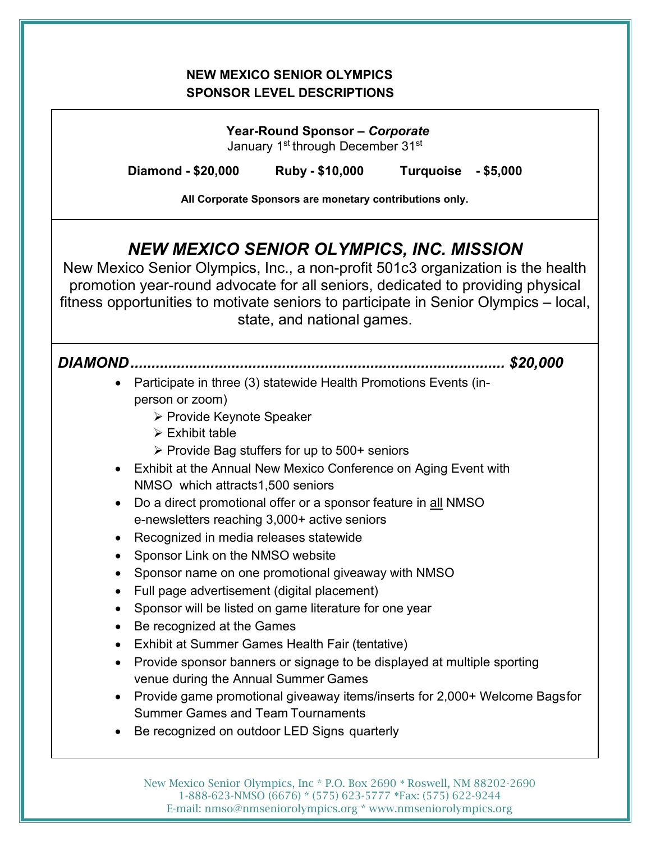#### **NEW MEXICO SENIOR OLYMPICS SPONSOR LEVEL DESCRIPTIONS**

**Year-Round Sponsor –** *Corporate* January 1<sup>st</sup> through December 31<sup>st</sup> **Diamond - \$20,000 Ruby - \$10,000 Turquoise - \$5,000 All Corporate Sponsors are monetary contributions only.** *NEW MEXICO SENIOR OLYMPICS, INC. MISSION* New Mexico Senior Olympics, Inc., a non-profit 501c3 organization is the health promotion year-round advocate for all seniors, dedicated to providing physical fitness opportunities to motivate seniors to participate in Senior Olympics – local, state, and national games. *DIAMOND......................................................................................... \$20,000* • Participate in three (3) statewide Health Promotions Events (inperson or zoom) **≻ Provide Keynote Speaker**  $\triangleright$  Exhibit table  $\triangleright$  Provide Bag stuffers for up to 500+ seniors • Exhibit at the Annual New Mexico Conference on Aging Event with NMSO which attracts1,500 seniors • Do a direct promotional offer or a sponsor feature in all NMSO e-newsletters reaching 3,000+ active seniors • Recognized in media releases statewide • Sponsor Link on the NMSO website • Sponsor name on one promotional giveaway with NMSO • Full page advertisement (digital placement) • Sponsor will be listed on game literature for one year • Be recognized at the Games • Exhibit at Summer Games Health Fair (tentative) • Provide sponsor banners or signage to be displayed at multiple sporting venue during the Annual Summer Games • Provide game promotional giveaway items/inserts for 2,000+ Welcome Bagsfor Summer Games and Team Tournaments • Be recognized on outdoor LED Signs quarterly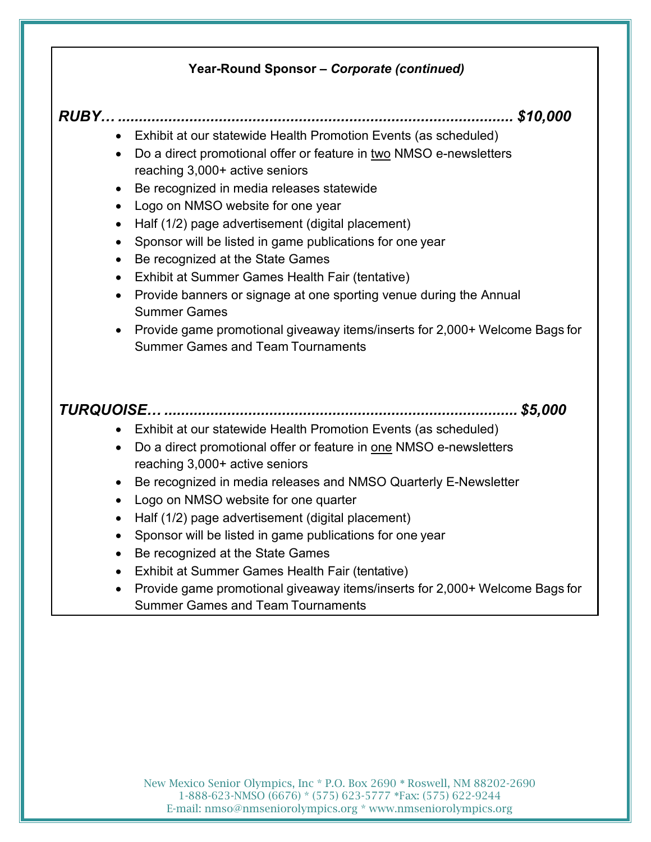#### **Year-Round Sponsor –** *Corporate (continued)*

### *RUBY… .............................................................................................. \$10,000*

- Exhibit at our statewide Health Promotion Events (as scheduled)
- Do a direct promotional offer or feature in two NMSO e-newsletters reaching 3,000+ active seniors
- Be recognized in media releases statewide
- Logo on NMSO website for one year
- Half (1/2) page advertisement (digital placement)
- Sponsor will be listed in game publications for one year
- Be recognized at the State Games
- Exhibit at Summer Games Health Fair (tentative)
- Provide banners or signage at one sporting venue during the Annual Summer Games
- Provide game promotional giveaway items/inserts for 2,000+ Welcome Bags for Summer Games and Team Tournaments

## *TURQUOISE… .................................................................................... \$5,000*

- Exhibit at our statewide Health Promotion Events (as scheduled)
- Do a direct promotional offer or feature in one NMSO e-newsletters reaching 3,000+ active seniors
- Be recognized in media releases and NMSO Quarterly E-Newsletter
- Logo on NMSO website for one quarter
- Half (1/2) page advertisement (digital placement)
- Sponsor will be listed in game publications for one year
- Be recognized at the State Games
- Exhibit at Summer Games Health Fair (tentative)
- Provide game promotional giveaway items/inserts for 2,000+ Welcome Bags for Summer Games and Team Tournaments